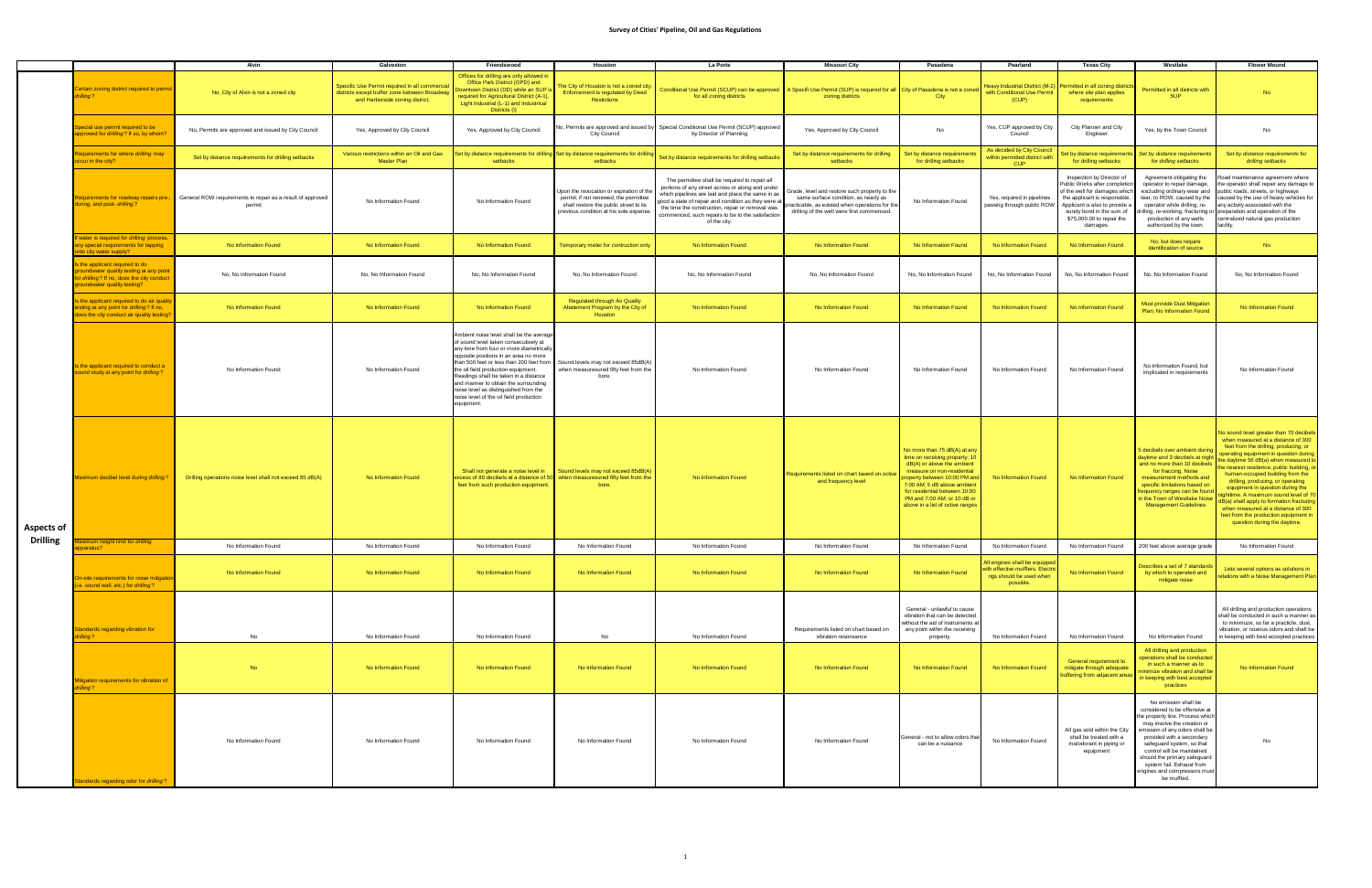|                   |                                                                                                                                                        | Alvin                                                                | Galveston                                                                                                                          | Friendswood                                                                                                                                                                                                                                                                                                                                                                                                                                  | Houston                                                                                                                                                              | La Porte                                                                                                                                                                                                                                                                                                                               | Missouri City                                                                                                                                                                         | Pasadena                                                                                                                                                                                                                                                                                       | Pearland                                                                                                    | <b>Texas City</b>                                                                                                                                                                                                                   | Westlake                                                                                                                                                                                                                                                                                                                                                       | <b>Flower Mound</b>                                                                                                                                                                                                                                                                                                                                                                                                                                                                                                                                             |
|-------------------|--------------------------------------------------------------------------------------------------------------------------------------------------------|----------------------------------------------------------------------|------------------------------------------------------------------------------------------------------------------------------------|----------------------------------------------------------------------------------------------------------------------------------------------------------------------------------------------------------------------------------------------------------------------------------------------------------------------------------------------------------------------------------------------------------------------------------------------|----------------------------------------------------------------------------------------------------------------------------------------------------------------------|----------------------------------------------------------------------------------------------------------------------------------------------------------------------------------------------------------------------------------------------------------------------------------------------------------------------------------------|---------------------------------------------------------------------------------------------------------------------------------------------------------------------------------------|------------------------------------------------------------------------------------------------------------------------------------------------------------------------------------------------------------------------------------------------------------------------------------------------|-------------------------------------------------------------------------------------------------------------|-------------------------------------------------------------------------------------------------------------------------------------------------------------------------------------------------------------------------------------|----------------------------------------------------------------------------------------------------------------------------------------------------------------------------------------------------------------------------------------------------------------------------------------------------------------------------------------------------------------|-----------------------------------------------------------------------------------------------------------------------------------------------------------------------------------------------------------------------------------------------------------------------------------------------------------------------------------------------------------------------------------------------------------------------------------------------------------------------------------------------------------------------------------------------------------------|
|                   | Certain zoning district required to permi<br>lling?                                                                                                    | No, City of Alvin is not a zoned city                                | Specific Use Permit required in all commercial<br>districts except buffer zone between Broadway<br>and Harborside zoning district. | Offices for drilling are only allowed in<br>Office Park District (OPD) and<br>owntown District (DD) while an SUP<br>equired for Agricultural District (A-1),<br>Light Industrial (L-1) and Industrical<br>Districts (I)                                                                                                                                                                                                                      | he City of Houston is not a zoned city<br>Enforcement is regulated by Deed<br><b>Restictions</b>                                                                     | Conditional Use Permit (SCUP) can be approved   A Specifi Use Permit (SUP) is required for all   City of Pasadena is not a zoned<br>for all zoning districts                                                                                                                                                                           | zoning districts                                                                                                                                                                      | City                                                                                                                                                                                                                                                                                           | Heavy Industrial District (M-2)<br>with Conditional Use Permit<br>(CUP)                                     | Permitted in all zoning distric<br>where site plan applies<br>requirements                                                                                                                                                          | Permitted in all districts with<br><b>SUP</b>                                                                                                                                                                                                                                                                                                                  |                                                                                                                                                                                                                                                                                                                                                                                                                                                                                                                                                                 |
|                   | ecial use permit required to be<br>proved for <i>drilling</i> ? If so, by whom?                                                                        | No, Permits are approved and issued by City Council                  | Yes, Approved by City Council                                                                                                      | Yes, Approved by City Council                                                                                                                                                                                                                                                                                                                                                                                                                | No, Permits are approved and issued b<br>City Council                                                                                                                | Special Conditional Use Permit (SCUP) approved<br>by Director of Planning                                                                                                                                                                                                                                                              | Yes, Approved by City Council                                                                                                                                                         | No                                                                                                                                                                                                                                                                                             | Yes, CUP approved by City<br>Council                                                                        | City Planner and City<br>Engineer                                                                                                                                                                                                   | Yes, by the Town Council                                                                                                                                                                                                                                                                                                                                       | No                                                                                                                                                                                                                                                                                                                                                                                                                                                                                                                                                              |
|                   | equirements for where <i>drilling</i> may<br>cur in the city?                                                                                          | Set by distance requiirements for drilling setbacks                  | Various restrictions within an Oil and Gas<br><b>Master Plan</b>                                                                   | let by distance requiirements for drilling Set by distance requiirements for drill<br>setbacks                                                                                                                                                                                                                                                                                                                                               | setbacks                                                                                                                                                             | Set by distance requiirements for drilling setbacks                                                                                                                                                                                                                                                                                    | Set by distance requiirements for drilling<br>setbacks                                                                                                                                | Set by distance requiirements<br>for drilling setbacks                                                                                                                                                                                                                                         | As decided by City Council<br>within permitted district with<br><b>CUP</b>                                  | et by distance requiiremen<br>for drilling setbacks                                                                                                                                                                                 | Set by distance requiirements<br>for drilling setbacks                                                                                                                                                                                                                                                                                                         | Set by distance requiirements for<br>drilling setbacks                                                                                                                                                                                                                                                                                                                                                                                                                                                                                                          |
|                   | equirements for roadway repairs pre-,<br>uring, and post- drilling?                                                                                    | General ROW requirements to repair as a result of approved<br>permit | No Information Found                                                                                                               | No Information Found                                                                                                                                                                                                                                                                                                                                                                                                                         | Upon the revocation or expiration of th<br>permit, if not renewed, the permittee<br>shall restore the public street to its<br>previous condition at his sole expense | The permittee shall be required to repair all<br>portions of any street across or along and under<br>which pipelines are laid and place the same in as<br>good a state of repair and condition as they were a<br>the time the construction, repair or removal was<br>commenced, such repairs to be to the satisfaction<br>of the city. | Grade, level and restore such property to the<br>same surface condition, as nearly as<br>racticable, as existed when operations for the<br>drilling of the well were first commenced. | No Information Found                                                                                                                                                                                                                                                                           | Yes, required in pipelines<br>passing through public ROW                                                    | Inspection by Director of<br>Public Works after completior<br>of the well for damages which<br>the applicant is responsible<br>Applicant is also to provide a<br>surety bond in the sum of<br>\$75,000.00 to repair the<br>damages. | Agreement obligating the<br>operator to repair damage,<br>excluding ordinary wear and<br>tear, to ROW, caused by the<br>operator while drilling, re-<br>production of any wells<br>authorized by the town.                                                                                                                                                     | ad maintenance agreement where<br>e operator shall repair any damage to<br>public roads, streets, or highways<br>caused by the use of heavy vehicles for<br>any activity associated with the<br>drilling, re-working, fracturing or preparation and operation of the<br>centralized natural gas production<br>acility.                                                                                                                                                                                                                                          |
|                   | water is required for drilling process,<br>ly special requirements for tapping<br>o city water supply?                                                 | No Information Found                                                 | No Information Found                                                                                                               | No Information Found                                                                                                                                                                                                                                                                                                                                                                                                                         | <b>Femporary meter for contruction only</b>                                                                                                                          | No Information Found                                                                                                                                                                                                                                                                                                                   | No Information Found                                                                                                                                                                  | No Information Found                                                                                                                                                                                                                                                                           | No Information Found                                                                                        | No Information Found                                                                                                                                                                                                                | No, but does require<br>identification of source                                                                                                                                                                                                                                                                                                               | No                                                                                                                                                                                                                                                                                                                                                                                                                                                                                                                                                              |
|                   | s the applicant required to do<br><b>undwater quality testing at any point</b><br>drilling? If no, does the city conduct<br>oundwater quality testing? | No, No Information Found                                             | No, No Information Found                                                                                                           | No, No Information Found                                                                                                                                                                                                                                                                                                                                                                                                                     | No, No Information Found                                                                                                                                             | No, No Information Found                                                                                                                                                                                                                                                                                                               | No, No Information Found                                                                                                                                                              | No, No Information Found                                                                                                                                                                                                                                                                       | No, No Information Found                                                                                    | No, No Information Found                                                                                                                                                                                                            | No, No Information Found                                                                                                                                                                                                                                                                                                                                       | No, No Information Found                                                                                                                                                                                                                                                                                                                                                                                                                                                                                                                                        |
|                   | s the applicant required to do air quality<br>sting at any point for <i>drilling</i> ?If no,<br>does the city conduct air quality testing'             | No Information Found                                                 | No Information Found                                                                                                               | No Information Found                                                                                                                                                                                                                                                                                                                                                                                                                         | <b>Regulated through Air Quality</b><br>Abatement Program by the City of<br>Houston                                                                                  | No Information Found                                                                                                                                                                                                                                                                                                                   | No Information Found                                                                                                                                                                  | No Information Found                                                                                                                                                                                                                                                                           | No Information Found                                                                                        | No Information Found                                                                                                                                                                                                                | <b>Must provide Dust Mitigation</b><br>Plan; No Information Found                                                                                                                                                                                                                                                                                              | No Information Found                                                                                                                                                                                                                                                                                                                                                                                                                                                                                                                                            |
| <b>Aspects of</b> | the applicant required to conduct a<br>und study at any point for drilling?                                                                            | No Information Found                                                 | No Information Found                                                                                                               | Ambient noise level shall be the average<br>of sound level taken consecutively at<br>any time from four or more diametrically<br>opposite positions in an area no more<br>than 500 feet or less than 200 feet from<br>the oil field production equipment.<br>Readings shall be taken in a distance<br>and manner to obtain the surrounding<br>noise level as distinguished from the<br>noise level of the oil field production<br>equipment. | Sound levels may not exceed 85dB(A)<br>when measuresured fifty feet from the<br>bore.                                                                                | No Information Found                                                                                                                                                                                                                                                                                                                   | No Information Found                                                                                                                                                                  | No Information Found                                                                                                                                                                                                                                                                           | No Information Found                                                                                        | No Information Found                                                                                                                                                                                                                | No Information Found, but<br>implicated in requirements                                                                                                                                                                                                                                                                                                        | No Information Found                                                                                                                                                                                                                                                                                                                                                                                                                                                                                                                                            |
|                   | Aaximum decibel level during drilling?                                                                                                                 | Drilling operations noise level shall not exceed 85 dB(A)            | No Information Found                                                                                                               | Shall not generate a noise level in<br>xcess of 80 decibels at a distance of 50<br>feet from such production equipment.                                                                                                                                                                                                                                                                                                                      | Sound levels may not exceed 85dB(A)<br>when measuresured fifty feet from the<br>bore.                                                                                | No Information Found                                                                                                                                                                                                                                                                                                                   | Requirements listed on chart based on octi<br>and frequency level                                                                                                                     | No more than 75 dB(A) at any<br>time on receiving property; 10<br>dB(A) or above the ambient<br>measure on non-residential<br>property between 10:00 PM and<br>7:00 AM; 5 dB above ambient<br>for residential between 10:00<br>PM and 7:00 AM; or 10 dB or<br>above in a list of octive ranges | No Information Found                                                                                        | No Information Found                                                                                                                                                                                                                | decibels over ambient during<br>daytime and 3 decibels at night<br>and no more than 10 decibels<br>for fraccing. Noise<br>measurement methods and<br>specific limitations based on<br>requency ranges can be found<br>in the Town of Westlake Noise<br><b>Management Guidelines</b>                                                                            | Vo sound level greater than 70 decibels<br>when measured at a distance of 300<br>feet from the drilling, producing, or<br>perating equipment in question during<br>e daytime 56 dB(a) when measured to<br>nearest residence, public building, or<br>human-occupied building from the<br>drilling, producing, or operating<br>equipment in question during the<br>httime. A maximum sound level of 70<br>%(a) shall apply to formation fracturing<br>when measured at a distance of 300<br>feet from the production equipment in<br>question during the daytime. |
| <b>Drilling</b>   | imum height limit for <i>drilling</i><br>paratus?                                                                                                      | No Information Found                                                 | No Information Found                                                                                                               | No Information Found                                                                                                                                                                                                                                                                                                                                                                                                                         | No Information Found                                                                                                                                                 | No Information Found                                                                                                                                                                                                                                                                                                                   | No Information Found                                                                                                                                                                  | No Information Found                                                                                                                                                                                                                                                                           | No Information Found                                                                                        | No Information Found                                                                                                                                                                                                                | 200 feet above average grade                                                                                                                                                                                                                                                                                                                                   | No Information Found                                                                                                                                                                                                                                                                                                                                                                                                                                                                                                                                            |
|                   | On-site requirements for noise mitigatio<br>e. sound wall, etc.) for drilling?                                                                         | No Information Found                                                 | No Information Found                                                                                                               | No Information Found                                                                                                                                                                                                                                                                                                                                                                                                                         | No Information Found                                                                                                                                                 | No Information Found                                                                                                                                                                                                                                                                                                                   | No Information Found                                                                                                                                                                  | No Information Found                                                                                                                                                                                                                                                                           | All engines shall be equipped<br>with effective mufflers. Electric<br>rias should be used when<br>possible. | No Information Found                                                                                                                                                                                                                | Describes a set of 7 standards<br>by which to operated and<br>mitigate noise                                                                                                                                                                                                                                                                                   | Lists several options as solutions in<br>elations with a Noise Management Plan                                                                                                                                                                                                                                                                                                                                                                                                                                                                                  |
|                   | andards regarding vibration for<br>illing?                                                                                                             | No                                                                   | No Information Found                                                                                                               | No Information Found                                                                                                                                                                                                                                                                                                                                                                                                                         | No                                                                                                                                                                   | No Information Found                                                                                                                                                                                                                                                                                                                   | Requirements listed on chart based on<br>vibration resonsance                                                                                                                         | General - unlawful to cause<br>vibration that can be detected<br>without the aid of instruments at<br>any point within the receiving<br>property.                                                                                                                                              | No Information Found                                                                                        | No Information Found                                                                                                                                                                                                                | No Information Found                                                                                                                                                                                                                                                                                                                                           | All drilling and production operations<br>shall be conducted in such a manner as<br>to minimuze, so far a practicle, dust,<br>vibration, or noxious odors and shall be<br>in keeping with best accepted practices                                                                                                                                                                                                                                                                                                                                               |
|                   | igation requirements for vibration of<br>lling?                                                                                                        | <b>No</b>                                                            | No Information Found                                                                                                               | No Information Found                                                                                                                                                                                                                                                                                                                                                                                                                         | No Information Found                                                                                                                                                 | No Information Found                                                                                                                                                                                                                                                                                                                   | No Information Found                                                                                                                                                                  | No Information Found                                                                                                                                                                                                                                                                           | No Information Found                                                                                        | General requirement to<br>mitigate through adequate<br>uffering from adjacent areas                                                                                                                                                 | All drilling and production<br>operations shall be conducted<br>in such a manner as to<br>ninimize vibration and shall b<br>in keeping with best accepted<br>practices                                                                                                                                                                                         | No Information Found                                                                                                                                                                                                                                                                                                                                                                                                                                                                                                                                            |
|                   | andards regarding odor for <i>drilling</i> ?                                                                                                           | No Information Found                                                 | No Information Found                                                                                                               | No Information Found                                                                                                                                                                                                                                                                                                                                                                                                                         | No Information Found                                                                                                                                                 | No Information Found                                                                                                                                                                                                                                                                                                                   | No Information Found                                                                                                                                                                  | General - not to allow odors that<br>can be a nuisance                                                                                                                                                                                                                                         | No Information Found                                                                                        | All gas sold within the City<br>shall be treated with a<br>malodorant in piping or<br>equipment                                                                                                                                     | No emission shall be<br>considered to be offensive at<br>the property line. Process which<br>may involve the creation or<br>emission of any odors shall be<br>provided with a secondary<br>safeguard system, so that<br>control will be maintained<br>should the primary safeguard<br>system fail. Exhaust from<br>engines and compressors must<br>be muffled. |                                                                                                                                                                                                                                                                                                                                                                                                                                                                                                                                                                 |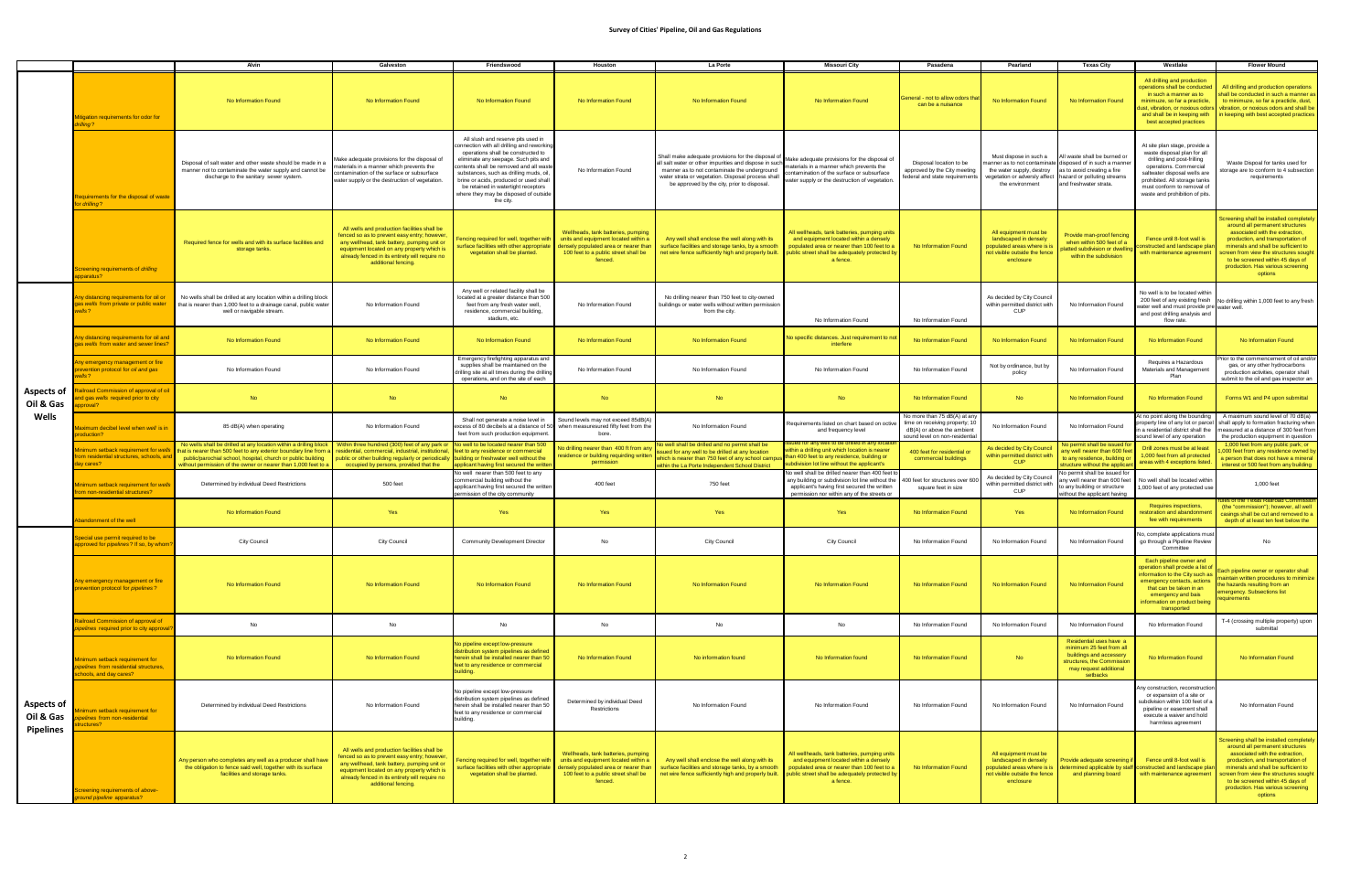|                                             |                                                                                                                          | Alvin                                                                                                                                                                                                                                                                                                                                                                         | Galveston                                                                                                                                                                                                                                                         | Friendswood                                                                                                                                                                                                                                                                                                                                                                                | Houston                                                                                                                                                                | La Porte                                                                                                                                                                                                                                                                  | <b>Missouri City</b>                                                                                                                                                                                | Pasadena                                                                                                                     | Pearland                                                                                                                    | <b>Texas City</b>                                                                                                                                                              | Westlake                                                                                                                                                                                                                                              | <b>Flower Mound</b>                                                                                                                                                                                                                                                                                                    |
|---------------------------------------------|--------------------------------------------------------------------------------------------------------------------------|-------------------------------------------------------------------------------------------------------------------------------------------------------------------------------------------------------------------------------------------------------------------------------------------------------------------------------------------------------------------------------|-------------------------------------------------------------------------------------------------------------------------------------------------------------------------------------------------------------------------------------------------------------------|--------------------------------------------------------------------------------------------------------------------------------------------------------------------------------------------------------------------------------------------------------------------------------------------------------------------------------------------------------------------------------------------|------------------------------------------------------------------------------------------------------------------------------------------------------------------------|---------------------------------------------------------------------------------------------------------------------------------------------------------------------------------------------------------------------------------------------------------------------------|-----------------------------------------------------------------------------------------------------------------------------------------------------------------------------------------------------|------------------------------------------------------------------------------------------------------------------------------|-----------------------------------------------------------------------------------------------------------------------------|--------------------------------------------------------------------------------------------------------------------------------------------------------------------------------|-------------------------------------------------------------------------------------------------------------------------------------------------------------------------------------------------------------------------------------------------------|------------------------------------------------------------------------------------------------------------------------------------------------------------------------------------------------------------------------------------------------------------------------------------------------------------------------|
|                                             | tigation requirements for odor for<br>lling?                                                                             | No Information Found                                                                                                                                                                                                                                                                                                                                                          | No Information Found                                                                                                                                                                                                                                              | No Information Found                                                                                                                                                                                                                                                                                                                                                                       | No Information Found                                                                                                                                                   | No Information Found                                                                                                                                                                                                                                                      | No Information Found                                                                                                                                                                                | General - not to allow odors tha<br>can be a nuisance                                                                        | No Information Found                                                                                                        | No Information Found                                                                                                                                                           | All drilling and production<br>operations shall be conducted<br>in such a manner as to<br>minimuze, so far a practicle,<br>and shall be in keeping with<br>best accepted practices                                                                    | All drilling and production operations<br>shall be conducted in such a manner as<br>to minimuze, so far a practicle, dust,<br>ust, vibration, or noxious odors vibration, or noxious odors and shall be<br>in keeping with best accepted practices                                                                     |
|                                             | equirements for the disposal of waste<br>r drilling?                                                                     | Disposal of salt water and other waste should be made in a<br>manner not to contaminate the water supply and cannot be<br>discharge to the sanitary sewer system.                                                                                                                                                                                                             | Make adequate provisions for the disposal of<br>terials in a manner which prevents the<br>ntamination of the surface or subsurface<br>water supply or the destruction of vegetation.                                                                              | All slush and reserve pits used in<br>connection with all drilling and reworking<br>operations shall be constructed to<br>eliminate any seepage. Such pits and<br>contents shall be removed and all wast<br>substances, such as drilling muds, oil,<br>brine or acids, produced or used shall<br>be retained in watertight receptors<br>where they may be disposed of outside<br>the city. | No Information Found                                                                                                                                                   | all salt water or other impurities and dispose in such $\sum_{m=1}^{N}$ Make adequate provisions for the disposal of<br>manner as to not contaminate the underground<br>water strata or vegetation. Disposal process shall<br>be approved by the city, prior to disposal. | naterials in a manner which prevents the<br>ontamination of the surface or subsurface<br>vater supply or the destruction of vegetation.                                                             | Disposal location to be<br>approved by the City meeting<br>federal and state requirements                                    | Must dispose in such a<br>the water supply, destroy as to avoid creating a fire<br>the environment                          | All waste shall be burned or<br>anner as to not contaminate disposed of in such a manne<br>vegetation or adversly affect hazard or polluting streams<br>and freshwater strata. | At site plan stage, provide a<br>waste disposal plan for all<br>drilling and post-frilling<br>operations. Commercial<br>saltwater disposal wells are<br>prohibited. All storage tanks<br>must conform to removal of<br>waste and prohibition of pits. | Waste Dispoal for tanks used for<br>torage are to conform to 4 subsection<br>requirements                                                                                                                                                                                                                              |
|                                             | reening requirements of <i>drilling</i><br>paratus?                                                                      | Required fence for wells and with its surface facilities and<br>storage tanks.                                                                                                                                                                                                                                                                                                | All wells and production facilities shall be<br>fenced so as to prevent easy entry; however<br>any wellhead, tank battery, pumping unit or<br>equipment located on any property which is<br>already fenced in its entirety will require no<br>additional fencing. | encing required for well, together with<br>surface facilities with other appropriate<br>vegetation shall be planted.                                                                                                                                                                                                                                                                       | Wellheads, tank batteries, pumping<br>units and equipment located within a<br>densely populated area or nearer than<br>100 feet to a public street shall be<br>fenced. | Any well shall enclose the well along with its<br>surface facilities and storage tanks, by a smooth<br>net wire fence sufficiently high and properly built.                                                                                                               | All wellheads, tank batteries, pumping units<br>and equipment located within a densely<br>populated area or nearer than 100 feet to a<br>public street shall be adequately protected by<br>a fence. | No Information Found                                                                                                         | All equipment must be<br>landscaped in densely<br>populated areas where is is<br>not visible outside the fence<br>enclosure | Provide man-proof fencing<br>when within 500 feet of a<br>atted subdivision or dwellir<br>within the subdivision                                                               | Fence until 8-foot wall is<br>instructed and landscape plar<br>with maintenance agreement                                                                                                                                                             | Screening shall be installed completely<br>around all permanent structures<br>associated with the extraction,<br>production, and transportation of<br>minerals and shall be sufficient to<br>creen from view the structures sought<br>to be screened within 45 days of<br>production. Has various screening<br>options |
| Aspects of<br>Oil & Gas<br>Wells            | ny distancing requirements for oil or<br>as wells from private or public water<br>ells?                                  | No wells shall be drilled at any location within a drilling block<br>that is nearer than 1,000 feet to a drainage canal, public water<br>well or navigable stream.                                                                                                                                                                                                            | No Information Found                                                                                                                                                                                                                                              | Any well or related facility shall be<br>located at a greater distance than 500<br>feet from any fresh water well,<br>residence, commercial building,<br>stadium, etc.                                                                                                                                                                                                                     | No Information Found                                                                                                                                                   | No drilling nearer than 750 feet to city-owned<br>buildings or water wells without written permission<br>from the city.                                                                                                                                                   | No Information Found                                                                                                                                                                                | No Information Found                                                                                                         | As decided by City Council<br>within permitted district with<br>CUP                                                         | No Information Found                                                                                                                                                           | No well is to be located within<br>water well and must provide pre water well.<br>and post drilling analysis and<br>flow rate.                                                                                                                        | 200 feet of any existing fresh No drilling within 1,000 feet to any fresh                                                                                                                                                                                                                                              |
|                                             | ny distancing requirements for oil and<br>as wells from water and sewer lines?                                           | No Information Found                                                                                                                                                                                                                                                                                                                                                          | No Information Found                                                                                                                                                                                                                                              | No Information Found                                                                                                                                                                                                                                                                                                                                                                       | No Information Found                                                                                                                                                   | No Information Found                                                                                                                                                                                                                                                      | No specific distances. Just requirement to no<br>interfere                                                                                                                                          | No Information Found                                                                                                         | No Information Found                                                                                                        | No Information Found                                                                                                                                                           | No Information Found                                                                                                                                                                                                                                  | No Information Found                                                                                                                                                                                                                                                                                                   |
|                                             | ly emergency management or fire<br>evention protocol for oil and gas                                                     | No Information Found                                                                                                                                                                                                                                                                                                                                                          | No Information Found                                                                                                                                                                                                                                              | Emergency firefighting apparatus and<br>supplies shall be maintained on the<br>frilling site at all times during the drillin<br>operations, and on the site of each                                                                                                                                                                                                                        | No Information Found                                                                                                                                                   | No Information Found                                                                                                                                                                                                                                                      | No Information Found                                                                                                                                                                                | No Information Found                                                                                                         | Not by ordinance, but by<br>policy                                                                                          | No Information Found                                                                                                                                                           | Requires a Hazardous<br>Materials and Management<br>Plan                                                                                                                                                                                              | rior to the commencement of oil and/or<br>gas, or any other hydrocarbons<br>production activities, operator shall<br>submit to the oil and gas inspector an                                                                                                                                                            |
|                                             | <b>Iroad Commission of approval of oil</b><br>gas wells required prior to city<br>oval?                                  | <b>No</b>                                                                                                                                                                                                                                                                                                                                                                     | <b>No</b>                                                                                                                                                                                                                                                         | <b>No</b>                                                                                                                                                                                                                                                                                                                                                                                  | <b>No</b>                                                                                                                                                              | <b>No</b>                                                                                                                                                                                                                                                                 | <b>No</b>                                                                                                                                                                                           | No Information Found                                                                                                         | <b>No</b>                                                                                                                   | No Information Found                                                                                                                                                           | No Information Found                                                                                                                                                                                                                                  | Forms W1 and P4 upon submittal                                                                                                                                                                                                                                                                                         |
|                                             | aximum decibel level when well is in<br>oduction?                                                                        | 85 dB(A) when operating                                                                                                                                                                                                                                                                                                                                                       | No Information Found                                                                                                                                                                                                                                              | Shall not generate a noise level in<br>excess of 80 decibels at a distance of 50<br>feet from such production equipment.                                                                                                                                                                                                                                                                   | Sound levels may not exceed 85dB(A<br>when measuresured fifty feet from the<br>bore.                                                                                   | No Information Found                                                                                                                                                                                                                                                      | Requirements listed on chart based on octive<br>and frequency level                                                                                                                                 | Vo more than 75 dB(A) at any<br>time on receiving property; 1<br>dB(A) or above the ambient<br>sound level on non-residentia | No Information Found                                                                                                        | No Information Found                                                                                                                                                           | t no point along the bounding<br>operty line of any lot or parcel<br>a residential district shall the<br>ound level of any operation                                                                                                                  | A maximum sound level of 70 dB(a)<br>shall apply to formation fracturing when<br>neasured at a distance of 300 feet from<br>the production equipment in question                                                                                                                                                       |
|                                             | nimum setback requirement for well<br>m residential structures, schools, an<br>y cares?                                  | No wells shall be drilled at any location within a drilling block   Within three hundred (300) feet of any park or<br>that is nearer than 500 feet to any exterior boundary line from a residential, commercial, industrial, institutional,<br>public/parochial school, hospital, church or public building<br>without permission of the owner or nearer than 1,000 feet to a | public or other building regularly or periodically<br>occupied by persons, provided that the                                                                                                                                                                      | No well to be located nearer than 500<br>feet to any residence or commercial<br>building or freshwater well without the<br>oplicant having first secured the writte                                                                                                                                                                                                                        | lo drilling nearer than 400 ft from an<br>esidence or building requirding written<br>permission                                                                        | No well shall be drilled and no permit shall be<br>ssued for any well to be drilled at any location<br>which is nearer than 750 feet of any school campus<br>within the La Porte Independent School District                                                              | ued for any well to be drilled in any locati<br>within a drilling unit which location is nearer<br>than 400 feet to any residence, building or<br>subdivision lot line without the applicant's      | 400 feet for residential or<br>commercial buildings                                                                          | As decided by City Council<br>within permitted district with<br><b>CUP</b>                                                  | Vo permit shall be issued fo<br>iny well nearer than 600 fee<br>to any residence, building o<br>tructure without the applical                                                  | Drill zones must be at least<br>,000 feet from all protected<br>areas with 4 exceptions listed.                                                                                                                                                       | 1,000 feet from any public park; or<br>000 feet from any residence owned by<br>person that does not have a mineral<br>interest or 500 feet from any building                                                                                                                                                           |
|                                             | nimum setback requirement for wells<br>rom non-residential structures?                                                   | Determined by individual Deed Restrictions                                                                                                                                                                                                                                                                                                                                    | 500 feet                                                                                                                                                                                                                                                          | Vo well nearer than 500 feet to any<br>commercial building without the<br>applicant having first secured the written<br>ermission of the city community                                                                                                                                                                                                                                    | 400 feet                                                                                                                                                               | 750 feet                                                                                                                                                                                                                                                                  | lo well shall be drilled nearer than 400 feet to<br>any building or subdivision lot line without the<br>applicant's having first secured the written<br>permission nor within any of the streets or | 400 feet for structures over 60<br>square feet in size                                                                       | As decided by City Council<br>within permitted district with<br>CUP                                                         | p permit shall be issued for<br>y well nearer than 600 fee<br>b any building or structure<br>vithout the applicant having                                                      | No well shall be located within<br>1,000 feet of any protected use                                                                                                                                                                                    | 1.000 feet                                                                                                                                                                                                                                                                                                             |
|                                             | bandonment of the well                                                                                                   | No Information Found                                                                                                                                                                                                                                                                                                                                                          | Yes                                                                                                                                                                                                                                                               | Yes                                                                                                                                                                                                                                                                                                                                                                                        | Yes                                                                                                                                                                    | Yes                                                                                                                                                                                                                                                                       | Yes                                                                                                                                                                                                 | No Information Found                                                                                                         | Yes                                                                                                                         | No Information Found                                                                                                                                                           | <b>Requires inspections</b><br>estoration and abandonmer<br>fee with requirements                                                                                                                                                                     | (the "commission"); however, all well<br>casings shall be cut and removed to a<br>depth of at least ten feet below the                                                                                                                                                                                                 |
|                                             | ecial use permit required to be<br>proved for <i>pipelines</i> ? If so, by whom                                          | City Council                                                                                                                                                                                                                                                                                                                                                                  | City Council                                                                                                                                                                                                                                                      | Community Development Director                                                                                                                                                                                                                                                                                                                                                             | No                                                                                                                                                                     | City Council                                                                                                                                                                                                                                                              | City Council                                                                                                                                                                                        | No Information Found                                                                                                         | No Information Found                                                                                                        | No Information Found                                                                                                                                                           | Vo, complete applications mus<br>go through a Pipeline Review<br>Committee                                                                                                                                                                            | No                                                                                                                                                                                                                                                                                                                     |
|                                             | ny emergency management or fire<br>revention protocol for <i>pipelines</i> ?                                             | No Information Found                                                                                                                                                                                                                                                                                                                                                          | No Information Found                                                                                                                                                                                                                                              | No Information Found                                                                                                                                                                                                                                                                                                                                                                       | No Information Found                                                                                                                                                   | No Information Found                                                                                                                                                                                                                                                      | No Information Found                                                                                                                                                                                | No Information Found                                                                                                         | No Information Found                                                                                                        | No Information Found                                                                                                                                                           | Each pipeline owner and<br>operation shall provide a list of<br>information to the City such as<br>emergency contacts, actions<br>that can be taken in an<br>emergency and bais<br>information on product being<br>transported                        | ach pipeline owner or operator shall<br>intain written procedures to minimize<br>e hazards resulting from an<br>ergency. Subsections list<br>equirements                                                                                                                                                               |
|                                             | ailroad Commission of approval of<br><i><b>pipelines required prior to city approval</b></i>                             | No                                                                                                                                                                                                                                                                                                                                                                            | No                                                                                                                                                                                                                                                                | No                                                                                                                                                                                                                                                                                                                                                                                         | No                                                                                                                                                                     | No                                                                                                                                                                                                                                                                        | No                                                                                                                                                                                                  | No Information Found                                                                                                         | No Information Found                                                                                                        | No Information Found                                                                                                                                                           | No Information Found                                                                                                                                                                                                                                  | T-4 (crossing multiple property) upon<br>submittal                                                                                                                                                                                                                                                                     |
| Aspects of<br>Oil & Gas<br><b>Pipelines</b> | <b>Minimum setback requirement for</b><br><i><b>pipelines from residential structures,</b></i><br>chools, and day cares? | No Information Found                                                                                                                                                                                                                                                                                                                                                          | No Information Found                                                                                                                                                                                                                                              | lo pipeline except low-pressure<br>istribution system pipelines as defined<br>nerein shall be installed nearer than 50<br>feet to any residence or commercial<br>building.                                                                                                                                                                                                                 | No Information Found                                                                                                                                                   | No information found                                                                                                                                                                                                                                                      | No Information found                                                                                                                                                                                | No Information Found                                                                                                         | <b>No</b>                                                                                                                   | Residential uses have a<br>minimum 25 feet from all<br>buildings and accessory<br>structures, the Commissior<br>may request additional<br>setbacks                             | No Information Found                                                                                                                                                                                                                                  | No Information Found                                                                                                                                                                                                                                                                                                   |
|                                             | mum setback requirement for<br>elines from non-residential<br>ctures?                                                    | Determined by individual Deed Restrictions                                                                                                                                                                                                                                                                                                                                    | No Information Found                                                                                                                                                                                                                                              | No pipeline except low-pressure<br>distribution system pipelines as defined<br>herein shall be installed nearer than 50<br>feet to any residence or commercial<br>building.                                                                                                                                                                                                                | Determined by individual Deed<br>Restrictions                                                                                                                          | No Information Found                                                                                                                                                                                                                                                      | No Information Found                                                                                                                                                                                | No Information Found                                                                                                         | No Information Found                                                                                                        | No Information Found                                                                                                                                                           | ny construction, reconstruction<br>or expansion of a site or<br>subdivision within 100 feet of a<br>pipeline or easement shall<br>execute a waiver and hold<br>harmless agreement                                                                     | No Information Found                                                                                                                                                                                                                                                                                                   |
|                                             | creening requirements of above-<br>ound pipeline apparatus?                                                              | Any person who completes any well as a producer shall have<br>the obligation to fence said well, together with its surface<br>facilities and storage tanks.                                                                                                                                                                                                                   | All wells and production facilities shall be<br>fenced so as to prevent easy entry; however<br>any wellhead, tank battery, pumping unit or<br>equipment located on any property which is<br>already fenced in its entirety will require no<br>additional fencing. | encing required for well, together with<br>urface facilities with other appropriate<br>vegetation shall be planted.                                                                                                                                                                                                                                                                        | Wellheads, tank batteries, pumping<br>units and equipment located within a<br>densely populated area or nearer than<br>100 feet to a public street shall be<br>fenced. | Any well shall enclose the well along with its<br>surface facilities and storage tanks, by a smooth<br>net wire fence sufficiently high and properly built.                                                                                                               | All wellheads, tank batteries, pumping units<br>and equipment located within a densely<br>populated area or nearer than 100 feet to a<br>public street shall be adequately protected by<br>a fence. | No Information Found                                                                                                         | All equipment must be<br>landscaped in densely<br>populated areas where is is<br>not visible outside the fence<br>enclosure | Provide adequate screening it<br>determined applicable by staf<br>and planning board                                                                                           | Fence until 8-foot wall is<br>onstructed and landscape plar<br>with maintenance agreement                                                                                                                                                             | creening shall be installed completely<br>around all permanent structures<br>associated with the extraction,<br>production, and transportation of<br>minerals and shall be sufficient to<br>creen from view the structures sought<br>to be screened within 45 days of<br>production. Has various screening<br>options  |